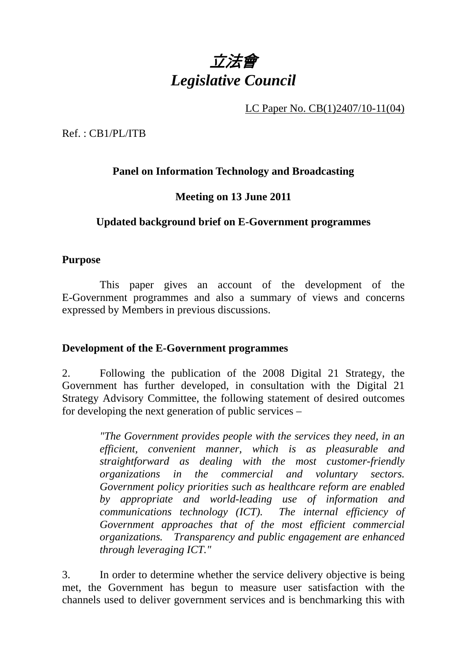

LC Paper No. CB(1)2407/10-11(04)

Ref. : CB1/PL/ITB

## **Panel on Information Technology and Broadcasting**

### **Meeting on 13 June 2011**

### **Updated background brief on E-Government programmes**

#### **Purpose**

 This paper gives an account of the development of the E-Government programmes and also a summary of views and concerns expressed by Members in previous discussions.

### **Development of the E-Government programmes**

2. Following the publication of the 2008 Digital 21 Strategy, the Government has further developed, in consultation with the Digital 21 Strategy Advisory Committee, the following statement of desired outcomes for developing the next generation of public services –

> *"The Government provides people with the services they need, in an efficient, convenient manner, which is as pleasurable and straightforward as dealing with the most customer-friendly organizations in the commercial and voluntary sectors. Government policy priorities such as healthcare reform are enabled by appropriate and world-leading use of information and communications technology (ICT). The internal efficiency of Government approaches that of the most efficient commercial organizations. Transparency and public engagement are enhanced through leveraging ICT."*

3. In order to determine whether the service delivery objective is being met, the Government has begun to measure user satisfaction with the channels used to deliver government services and is benchmarking this with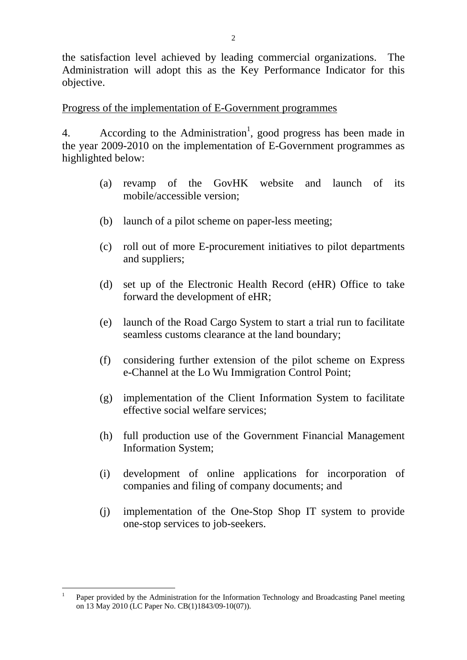the satisfaction level achieved by leading commercial organizations. The Administration will adopt this as the Key Performance Indicator for this objective.

### Progress of the implementation of E-Government programmes

4. According to the Administration<sup>1</sup>, good progress has been made in the year 2009-2010 on the implementation of E-Government programmes as highlighted below:

- (a) revamp of the GovHK website and launch of its mobile/accessible version;
- (b) launch of a pilot scheme on paper-less meeting;
- (c) roll out of more E-procurement initiatives to pilot departments and suppliers;
- (d) set up of the Electronic Health Record (eHR) Office to take forward the development of eHR;
- (e) launch of the Road Cargo System to start a trial run to facilitate seamless customs clearance at the land boundary;
- (f) considering further extension of the pilot scheme on Express e-Channel at the Lo Wu Immigration Control Point;
- (g) implementation of the Client Information System to facilitate effective social welfare services;
- (h) full production use of the Government Financial Management Information System;
- (i) development of online applications for incorporation of companies and filing of company documents; and
- (j) implementation of the One-Stop Shop IT system to provide one-stop services to job-seekers.

 $\overline{a}$ 1 Paper provided by the Administration for the Information Technology and Broadcasting Panel meeting on 13 May 2010 (LC Paper No. CB(1)1843/09-10(07)).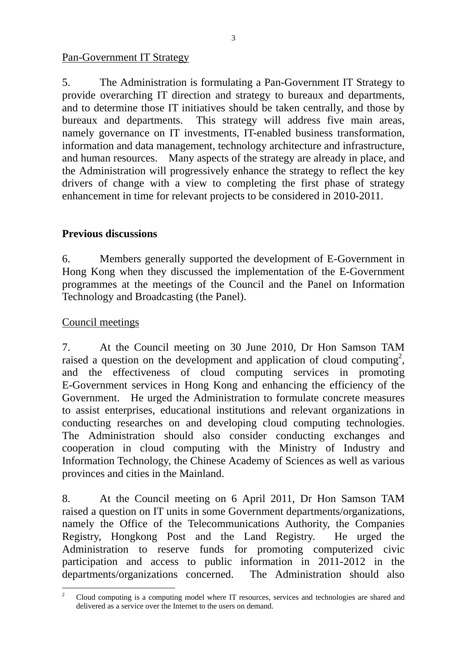### Pan-Government IT Strategy

5. The Administration is formulating a Pan-Government IT Strategy to provide overarching IT direction and strategy to bureaux and departments, and to determine those IT initiatives should be taken centrally, and those by bureaux and departments. This strategy will address five main areas, namely governance on IT investments, IT-enabled business transformation, information and data management, technology architecture and infrastructure, and human resources. Many aspects of the strategy are already in place, and the Administration will progressively enhance the strategy to reflect the key drivers of change with a view to completing the first phase of strategy enhancement in time for relevant projects to be considered in 2010-2011.

# **Previous discussions**

6. Members generally supported the development of E-Government in Hong Kong when they discussed the implementation of the E-Government programmes at the meetings of the Council and the Panel on Information Technology and Broadcasting (the Panel).

## Council meetings

7. At the Council meeting on 30 June 2010, Dr Hon Samson TAM raised a question on the development and application of cloud computing<sup>2</sup>, and the effectiveness of cloud computing services in promoting E-Government services in Hong Kong and enhancing the efficiency of the Government. He urged the Administration to formulate concrete measures to assist enterprises, educational institutions and relevant organizations in conducting researches on and developing cloud computing technologies. The Administration should also consider conducting exchanges and cooperation in cloud computing with the Ministry of Industry and Information Technology, the Chinese Academy of Sciences as well as various provinces and cities in the Mainland.

8. At the Council meeting on 6 April 2011, Dr Hon Samson TAM raised a question on IT units in some Government departments/organizations, namely the Office of the Telecommunications Authority, the Companies Registry, Hongkong Post and the Land Registry. He urged the Administration to reserve funds for promoting computerized civic participation and access to public information in 2011-2012 in the departments/organizations concerned. The Administration should also departments/organizations concerned.

 $\overline{a}$ <sup>2</sup> Cloud computing is a computing model where IT resources, services and technologies are shared and delivered as a service over the Internet to the users on demand.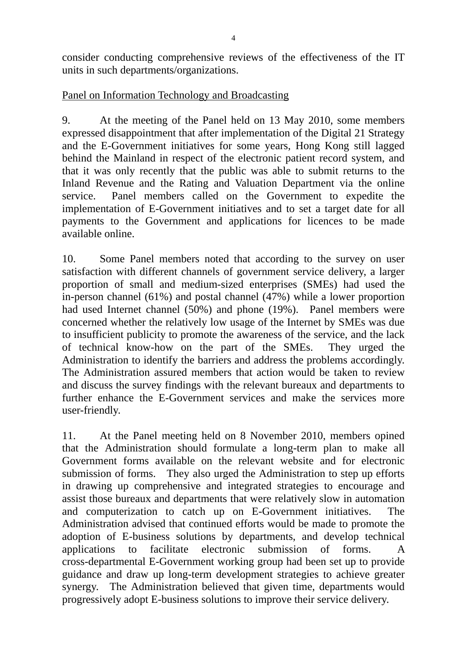consider conducting comprehensive reviews of the effectiveness of the IT units in such departments/organizations.

## Panel on Information Technology and Broadcasting

9. At the meeting of the Panel held on 13 May 2010, some members expressed disappointment that after implementation of the Digital 21 Strategy and the E-Government initiatives for some years, Hong Kong still lagged behind the Mainland in respect of the electronic patient record system, and that it was only recently that the public was able to submit returns to the Inland Revenue and the Rating and Valuation Department via the online service. Panel members called on the Government to expedite the implementation of E-Government initiatives and to set a target date for all payments to the Government and applications for licences to be made available online.

10. Some Panel members noted that according to the survey on user satisfaction with different channels of government service delivery, a larger proportion of small and medium-sized enterprises (SMEs) had used the in-person channel (61%) and postal channel  $(47%)$  while a lower proportion had used Internet channel (50%) and phone (19%). Panel members were concerned whether the relatively low usage of the Internet by SMEs was due to insufficient publicity to promote the awareness of the service, and the lack of technical know-how on the part of the SMEs. They urged the Administration to identify the barriers and address the problems accordingly. The Administration assured members that action would be taken to review and discuss the survey findings with the relevant bureaux and departments to further enhance the E-Government services and make the services more user-friendly.

11. At the Panel meeting held on 8 November 2010, members opined that the Administration should formulate a long-term plan to make all Government forms available on the relevant website and for electronic submission of forms. They also urged the Administration to step up efforts in drawing up comprehensive and integrated strategies to encourage and assist those bureaux and departments that were relatively slow in automation and computerization to catch up on E-Government initiatives. The Administration advised that continued efforts would be made to promote the adoption of E-business solutions by departments, and develop technical applications to facilitate electronic submission of forms. A cross-departmental E-Government working group had been set up to provide guidance and draw up long-term development strategies to achieve greater synergy. The Administration believed that given time, departments would progressively adopt E-business solutions to improve their service delivery.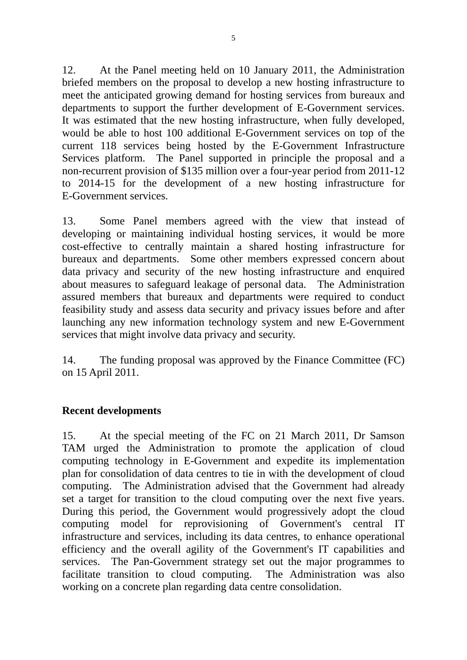12. At the Panel meeting held on 10 January 2011, the Administration briefed members on the proposal to develop a new hosting infrastructure to meet the anticipated growing demand for hosting services from bureaux and departments to support the further development of E-Government services. It was estimated that the new hosting infrastructure, when fully developed, would be able to host 100 additional E-Government services on top of the current 118 services being hosted by the E-Government Infrastructure Services platform. The Panel supported in principle the proposal and a non-recurrent provision of \$135 million over a four-year period from 2011-12 to 2014-15 for the development of a new hosting infrastructure for E-Government services.

13. Some Panel members agreed with the view that instead of developing or maintaining individual hosting services, it would be more cost-effective to centrally maintain a shared hosting infrastructure for bureaux and departments. Some other members expressed concern about data privacy and security of the new hosting infrastructure and enquired about measures to safeguard leakage of personal data. The Administration assured members that bureaux and departments were required to conduct feasibility study and assess data security and privacy issues before and after launching any new information technology system and new E-Government services that might involve data privacy and security.

14. The funding proposal was approved by the Finance Committee (FC) on 15 April 2011.

### **Recent developments**

15. At the special meeting of the FC on 21 March 2011, Dr Samson TAM urged the Administration to promote the application of cloud computing technology in E-Government and expedite its implementation plan for consolidation of data centres to tie in with the development of cloud computing. The Administration advised that the Government had already set a target for transition to the cloud computing over the next five years. During this period, the Government would progressively adopt the cloud computing model for reprovisioning of Government's central IT infrastructure and services, including its data centres, to enhance operational efficiency and the overall agility of the Government's IT capabilities and services. The Pan-Government strategy set out the major programmes to facilitate transition to cloud computing. The Administration was also working on a concrete plan regarding data centre consolidation.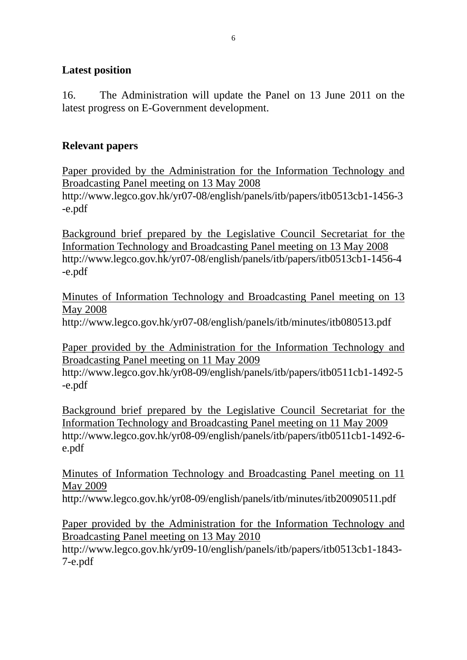## **Latest position**

16. The Administration will update the Panel on 13 June 2011 on the latest progress on E-Government development.

## **Relevant papers**

Paper provided by the Administration for the Information Technology and Broadcasting Panel meeting on 13 May 2008

http://www.legco.gov.hk/yr07-08/english/panels/itb/papers/itb0513cb1-1456-3 -e.pdf

Background brief prepared by the Legislative Council Secretariat for the Information Technology and Broadcasting Panel meeting on 13 May 2008 http://www.legco.gov.hk/yr07-08/english/panels/itb/papers/itb0513cb1-1456-4 -e.pdf

Minutes of Information Technology and Broadcasting Panel meeting on 13 May 2008

http://www.legco.gov.hk/yr07-08/english/panels/itb/minutes/itb080513.pdf

Paper provided by the Administration for the Information Technology and Broadcasting Panel meeting on 11 May 2009

http://www.legco.gov.hk/yr08-09/english/panels/itb/papers/itb0511cb1-1492-5 -e.pdf

Background brief prepared by the Legislative Council Secretariat for the Information Technology and Broadcasting Panel meeting on 11 May 2009 http://www.legco.gov.hk/yr08-09/english/panels/itb/papers/itb0511cb1-1492-6 e.pdf

Minutes of Information Technology and Broadcasting Panel meeting on 11 May 2009

http://www.legco.gov.hk/yr08-09/english/panels/itb/minutes/itb20090511.pdf

Paper provided by the Administration for the Information Technology and Broadcasting Panel meeting on 13 May 2010 http://www.legco.gov.hk/yr09-10/english/panels/itb/papers/itb0513cb1-1843-

7-e.pdf